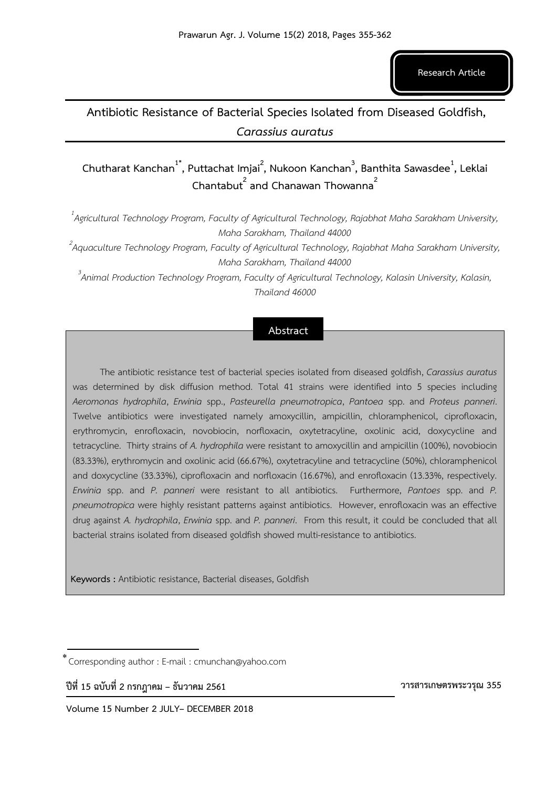**Research Article**

## **Antibiotic Resistance of Bacterial Species Isolated from Diseased Goldfish,** *Carassius auratus*

**Chutharat Kanchan1\*, Puttachat Imjai<sup>2</sup> , Nukoon Kanchan<sup>3</sup> , Banthita Sawasdee<sup>1</sup> , Leklai Chantabut<sup>2</sup> and Chanawan Thowanna<sup>2</sup>**

*1 Agricultural Technology Program, Faculty of Agricultural Technology, Rajabhat Maha Sarakham University, Maha Sarakham, Thailand 44000* 

*2 Aquaculture Technology Program, Faculty of Agricultural Technology, Rajabhat Maha Sarakham University, Maha Sarakham, Thailand 44000* 

*3 Animal Production Technology Program, Faculty of Agricultural Technology, Kalasin University, Kalasin, Thailand 46000* 

## **Abstract**

The antibiotic resistance test of bacterial species isolated from diseased goldfish, *Carassius auratus* was determined by disk diffusion method. Total 41 strains were identified into 5 species including *Aeromonas hydrophila*, *Erwinia* spp., *Pasteurella pneumotropica*, *Pantoea* spp. and *Proteus panneri*. Twelve antibiotics were investigated namely amoxycillin, ampicillin, chloramphenicol, ciprofloxacin, erythromycin, enrofloxacin, novobiocin, norfloxacin, oxytetracyline, oxolinic acid, doxycycline and tetracycline. Thirty strains of *A. hydrophila* were resistant to amoxycillin and ampicillin (100%), novobiocin (83.33%), erythromycin and oxolinic acid (66.67%), oxytetracyline and tetracycline (50%), chloramphenicol and doxycycline (33.33%), ciprofloxacin and norfloxacin (16.67%), and enrofloxacin (13.33%, respectively. *Erwinia* spp. and *P. panneri* were resistant to all antibiotics. Furthermore, *Pantoes* spp. and *P. pneumotropica* were highly resistant patterns against antibiotics. However, enrofloxacin was an effective drug against *A. hydrophila*, *Erwinia* spp. and *P. panneri*. From this result, it could be concluded that all bacterial strains isolated from diseased goldfish showed multi-resistance to antibiotics.

**Keywords :** Antibiotic resistance, Bacterial diseases, Goldfish

**ปีที่ 15 ฉบับที่ 2 กรกฎาคม – ธันวาคม 2561** 

 **วารสารเกษตรพระวรุณ 355**

Corresponding author : E-mail : cmunchan@yahoo.com \*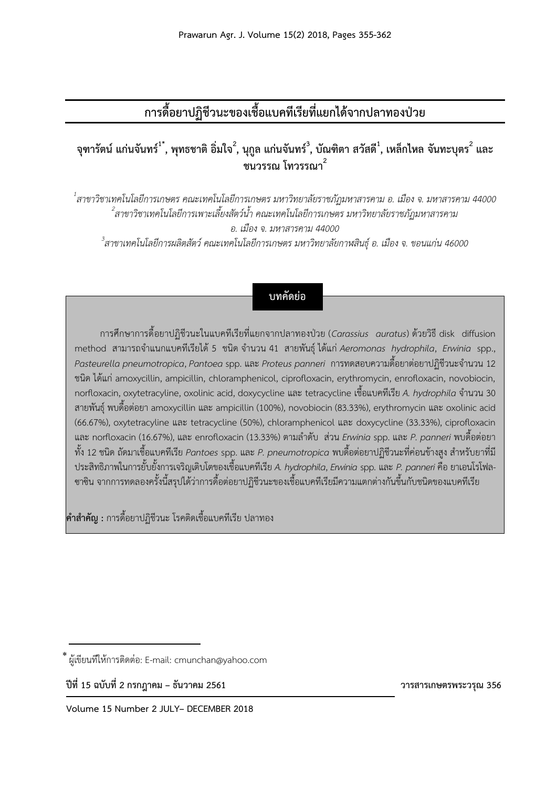# **การดื้อยาปฏิชีวนะของเชื้อแบคทีเรียที่แยกได้จากปลาทองป่วย**

## **จุฑารัตน์ แก่นจันทร์1\* , พุทธชาติ อิ่มใจ<sup>2</sup> , นุกูล แก่นจันทร์<sup>3</sup> , บัณฑิตา สวัสดี<sup>1</sup> , เหล็กไหล จันทะบุตร<sup>2</sup> และ ชนวรรณ โทวรรณา<sup>2</sup>**

 *สาขาวิชาเทคโนโลยีการเกษตร คณะเทคโนโลยีการเกษตร มหาวิทยาลัยราชภัฏมหาสารคาม อ. เมือง จ. มหาสารคาม 44000 สาขาวิชาเทคโนโลยีการเพาะเลี้ยงสัตว์น้้า คณะเทคโนโลยีการเกษตร มหาวิทยาลัยราชภัฏมหาสารคาม อ. เมือง จ. มหาสารคาม 44000 สาขาเทคโนโลยีการผลิตสัตว์ คณะเทคโนโลยีการเกษตร มหาวิทยาลัยกาฬสินธุ์ อ. เมือง จ. ขอนแก่น 46000*

## **บทคัดย่อ**

การศึกษาการดื้อยาปฏิชีวนะในแบคทีเรียที่แยกจากปลาทองป่วย (*Carassius auratus*) ด้วยวิธี disk diffusion method สามารถจำแนกแบคทีเรียได้ 5 ชนิด จำนวน 41 สายพันธุ์ ได้แก่ Aeromonas hydrophila, *Erwinia* spp., *Pasteurella pneumotropica*, *Pantoea*spp. และ *Proteus panneri* การทดสอบความดื้อยาต่อยาปฏิชีวนะจ านวน 12 ชนิด ได้แก่ amoxycillin, ampicillin, chloramphenicol, ciprofloxacin, erythromycin, enrofloxacin, novobiocin, norfloxacin, oxytetracyline, oxolinic acid, doxycycline และ tetracycline เชื้อแบคทีเรีย A. hydrophila จำนวน 30 สายพันธุ์ พบดื้อต่อยา amoxycillin และ ampicillin (100%), novobiocin (83.33%), erythromycin และ oxolinic acid (66.67%), oxytetracyline และ tetracycline (50%), chloramphenicol และ doxycycline (33.33%), ciprofloxacin และ norfloxacin (16.67%), และ enrofloxacin (13.33%) ตามล าดับ ส่วน *Erwinia* spp. และ *P. panneri* พบดื้อต่อยา ทั้ง 12 ชนิด ถัดมาเชื้อแบคทีเรีย *Pantoes* spp. และ *P. pneumotropica* พบดื้อต่อยาปฏิชีวนะที่ค่อนข้างสูง ส าหรับยาที่มี ประสิทธิภาพในการยั้บยั้งการเจริญเติบโตของเชื้อแบคทีเรีย *A. hydrophila*, *Erwinia* spp. และ *P. panneri*คือ ยาเอนโรโฟล-ซาซิน จากการทดลองครั้งนี้สรุปได้ว่าการดื้อต่อยาปฏิชีวนะของเชื้อแบคทีเรียมีความแตกต่างกันขึ้นกับชนิดของแบคทีเรีย

**ค าส าคัญ :** การดื้อยาปฏิชีวนะ โรคติดเชื้อแบคทีเรีย ปลาทอง

**ปีที่ 15 ฉบับที่ 2 กรกฎาคม – ธันวาคม 2561 วารสารเกษตรพระวรุณ 356**

ผู้เขียนที่ให้การติดต่อ: E-mail: cmunchan@yahoo.com \*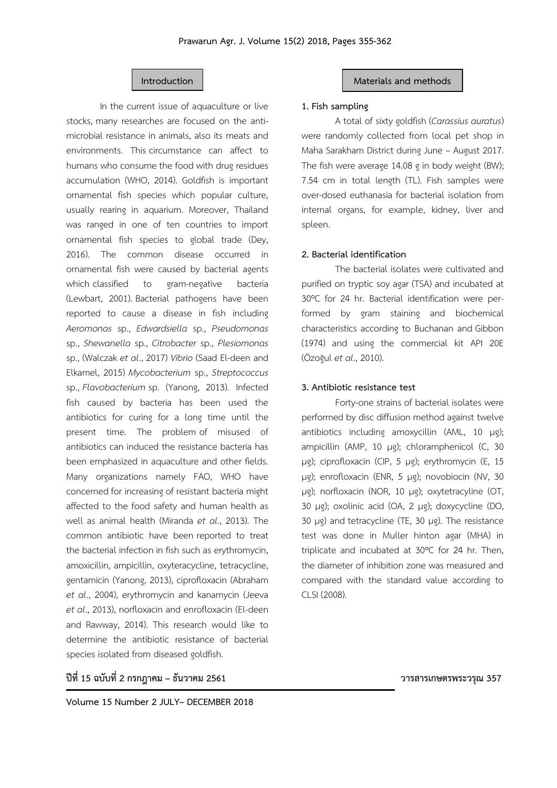In the current issue of aquaculture or live stocks, many researches are focused on the antimicrobial resistance in animals, also its meats and environments. This circumstance can affect to humans who consume the food with drug residues accumulation (WHO, 2014). Goldfish is important ornamental fish species which popular culture, usually rearing in aquarium. Moreover, Thailand was ranged in one of ten countries to import ornamental fish species to global trade (Dey, 2016). The common disease occurred in ornamental fish were caused by bacterial agents which classified to gram-negative bacteria (Lewbart, 2001). Bacterial pathogens have been reported to cause a disease in fish including *Aeromonas* sp., *Edwardsiella* sp., *Pseudomonas* sp., *Shewanella* sp*.*, *Citrobacter* sp., *Plesiomonas* sp., (Walczak *et al*., 2017) *Vibrio* (Saad El-deen and Elkamel, 2015) *Mycobacterium* sp., *Streptococcus* sp., *Flavobacterium* sp. (Yanong, 2013). Infected fish caused by bacteria has been used the antibiotics for curing for a long time until the present time. The problem of misused of antibiotics can induced the resistance bacteria has been emphasized in aquaculture and other fields. Many organizations namely FAO, WHO have concerned for increasing of resistant bacteria might affected to the food safety and human health as well as animal health (Miranda *et al*., 2013). The common antibiotic have been reported to treat the bacterial infection in fish such as erythromycin, amoxicillin, ampicillin, oxyteracycline, tetracycline, gentamicin (Yanong, 2013), ciprofloxacin (Abraham *et al*., 2004), erythromycin and kanamycin (Jeeva *et al*., 2013), norfloxacin and enrofloxacin (El-deen and Rawway, 2014). This research would like to determine the antibiotic resistance of bacterial species isolated from diseased goldfish.

## **Introduction Materials and methods**

## **1. Fish sampling**

A total of sixty goldfish (*Carassius auratus*) were randomly collected from local pet shop in Maha Sarakham District during June – August 2017. The fish were average 14.08 g in body weight (BW); 7.54 cm in total length (TL). Fish samples were over-dosed euthanasia for bacterial isolation from internal organs, for example, kidney, liver and spleen.

## **2. Bacterial identification**

The bacterial isolates were cultivated and purified on tryptic soy agar (TSA) and incubated at 30ºC for 24 hr. Bacterial identification were performed by gram staining and biochemical characteristics according to Buchanan and Gibbon (1974) and using the commercial kit API 20E (Özoğul *et al*., 2010).

## **3. Antibiotic resistance test**

Forty-one strains of bacterial isolates were performed by disc diffusion method against twelve antibiotics including amoxycillin (AML, 10 µg); ampicillin (AMP, 10 µg); chloramphenicol (C, 30 µg); ciprofloxacin (CIP, 5 µg); erythromycin (E, 15 µg); enrofloxacin (ENR, 5 µg); novobiocin (NV, 30 µg); norfloxacin (NOR, 10 µg); oxytetracyline (OT, 30 µg); oxolinic acid (OA, 2 µg); doxycycline (DO, 30 µg) and tetracycline (TE, 30 µg). The resistance test was done in Muller hinton agar (MHA) in triplicate and incubated at 30ºC for 24 hr. Then, the diameter of inhibition zone was measured and compared with the standard value according to CLSI (2008).

## **ปีที่ 15 ฉบับที่ 2 กรกฎาคม – ธันวาคม 2561 วารสารเกษตรพระวรุณ 357**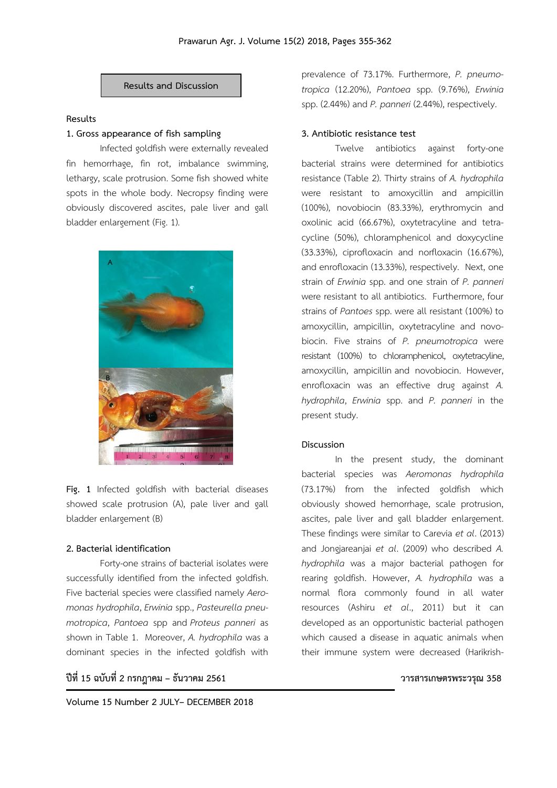

## **Results**

## **1. Gross appearance of fish sampling**

Infected goldfish were externally revealed fin hemorrhage, fin rot, imbalance swimming, lethargy, scale protrusion. Some fish showed white spots in the whole body. Necropsy finding were obviously discovered ascites, pale liver and gall bladder enlargement (Fig. 1).



**Fig. 1** Infected goldfish with bacterial diseases showed scale protrusion (A), pale liver and gall bladder enlargement (B)

## **2. Bacterial identification**

Forty-one strains of bacterial isolates were successfully identified from the infected goldfish. Five bacterial species were classified namely *Aeromonas hydrophila*, *Erwinia* spp., *Pasteurella pneumotropica*, *Pantoea* spp and *Proteus panneri* as shown in Table 1. Moreover, *A. hydrophila* was a dominant species in the infected goldfish with

**ปีที่ 15 ฉบับที่ 2 กรกฎาคม – ธันวาคม 2561 วารสารเกษตรพระวรุณ 358**

prevalence of 73.17%. Furthermore, *P. pneumotropica* (12.20%), *Pantoea* spp. (9.76%), *Erwinia* spp. (2.44%) and *P. panneri* (2.44%), respectively.

### **3. Antibiotic resistance test**

Twelve antibiotics against forty-one bacterial strains were determined for antibiotics resistance (Table 2). Thirty strains of *A. hydrophila* were resistant to amoxycillin and ampicillin (100%), novobiocin (83.33%), erythromycin and oxolinic acid (66.67%), oxytetracyline and tetracycline (50%), chloramphenicol and doxycycline (33.33%), ciprofloxacin and norfloxacin (16.67%), and enrofloxacin (13.33%), respectively. Next, one strain of *Erwinia* spp. and one strain of *P. panneri* were resistant to all antibiotics. Furthermore, four strains of *Pantoes* spp. were all resistant (100%) to amoxycillin, ampicillin, oxytetracyline and novobiocin. Five strains of *P. pneumotropica* were resistant (100%) to chloramphenicol, oxytetracyline, amoxycillin, ampicillin and novobiocin. However, enrofloxacin was an effective drug against *A. hydrophila*, *Erwinia* spp. and *P. panneri* in the present study.

### **Discussion**

In the present study, the dominant bacterial species was *Aeromonas hydrophila* (73.17%) from the infected goldfish which obviously showed hemorrhage, scale protrusion, ascites, pale liver and gall bladder enlargement. These findings were similar to Carevia *et al*. (2013) and Jongjareanjai *et al*. (2009) who described *A. hydrophila* was a major bacterial pathogen for rearing goldfish. However, *A. hydrophila* was a normal flora commonly found in all water resources (Ashiru *et al*., 2011) but it can developed as an opportunistic bacterial pathogen which caused a disease in aquatic animals when their immune system were decreased (Harikrish-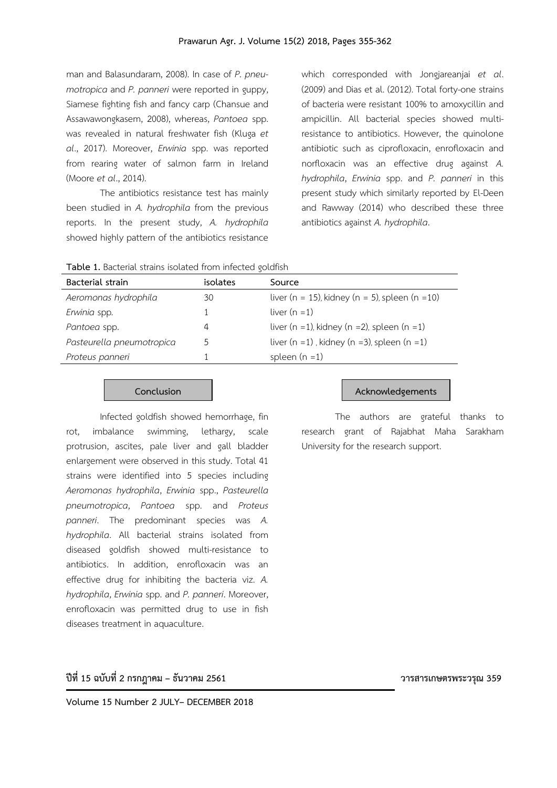man and Balasundaram, 2008). In case of *P. pneumotropica* and *P. panneri* were reported in guppy, Siamese fighting fish and fancy carp (Chansue and Assawawongkasem, 2008), whereas, *Pantoea* spp. was revealed in natural freshwater fish (Kluga *et al*., 2017). Moreover, *Erwinia* spp. was reported from rearing water of salmon farm in Ireland (Moore *et al*., 2014).

The antibiotics resistance test has mainly been studied in *A. hydrophila* from the previous reports. In the present study, *A. hydrophila* showed highly pattern of the antibiotics resistance

which corresponded with Jongjareanjai *et al*. (2009) and Dias et al. (2012). Total forty-one strains of bacteria were resistant 100% to amoxycillin and ampicillin. All bacterial species showed multiresistance to antibiotics. However, the quinolone antibiotic such as ciprofloxacin, enrofloxacin and norfloxacin was an effective drug against *A. hydrophila*, *Erwinia* spp. and *P. panneri* in this present study which similarly reported by El-Deen and Rawway (2014) who described these three antibiotics against *A. hydrophila*.

|  | Table 1. Bacterial strains isolated from infected goldfish |  |  |  |  |  |
|--|------------------------------------------------------------|--|--|--|--|--|
|--|------------------------------------------------------------|--|--|--|--|--|

| Bacterial strain          | isolates | Source                                                |
|---------------------------|----------|-------------------------------------------------------|
| Aeromonas hydrophila      | 30       | liver (n = 15), kidney (n = 5), spleen (n = 10)       |
| Erwinia spp.              |          | liver $(n = 1)$                                       |
| Pantoea spp.              | 4        | liver (n =1), kidney (n =2), spleen (n =1)            |
| Pasteurella pneumotropica |          | liver $(n = 1)$ , kidney $(n = 3)$ , spleen $(n = 1)$ |
| Proteus panneri           |          | spleen $(n = 1)$                                      |

Infected goldfish showed hemorrhage, fin rot, imbalance swimming, lethargy, scale protrusion, ascites, pale liver and gall bladder enlargement were observed in this study. Total 41 strains were identified into 5 species including *Aeromonas hydrophila*, *Erwinia* spp., *Pasteurella pneumotropica*, *Pantoea* spp. and *Proteus panneri*. The predominant species was *A. hydrophila*. All bacterial strains isolated from diseased goldfish showed multi-resistance to antibiotics. In addition, enrofloxacin was an effective drug for inhibiting the bacteria viz. *A. hydrophila*, *Erwinia* spp. and *P. panneri*. Moreover, enrofloxacin was permitted drug to use in fish diseases treatment in aquaculture.

#### **Conclusion Acknowledgements**

The authors are grateful thanks to research grant of Rajabhat Maha Sarakham University for the research support.

## **ปีที่ 15 ฉบับที่ 2 กรกฎาคม – ธันวาคม 2561 วารสารเกษตรพระวรุณ 359**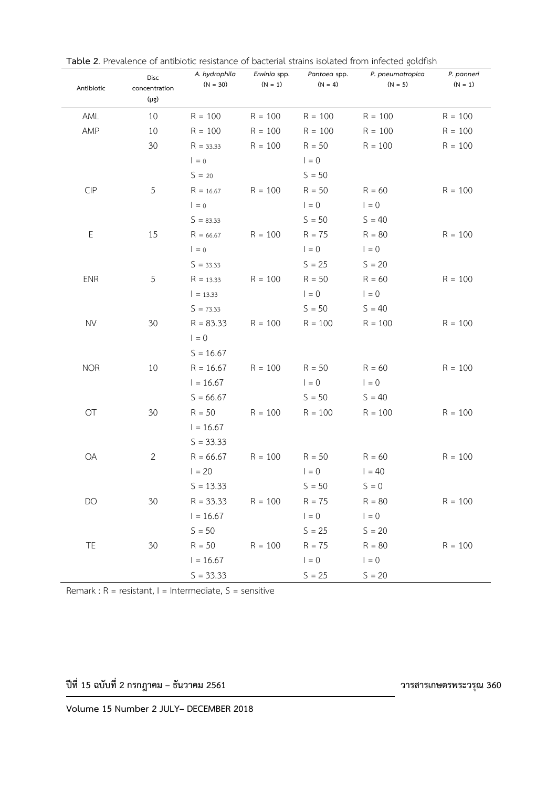| Antibiotic  | Disc<br>concentration | A. hydrophila<br>$(N = 30)$ | Erwinia spp.<br>$(N = 1)$ | Pantoea spp.<br>$(N = 4)$ | P. pneumotropica<br>$(N = 5)$ | P. panneri<br>$(N = 1)$ |
|-------------|-----------------------|-----------------------------|---------------------------|---------------------------|-------------------------------|-------------------------|
|             | $(\mu g)$             |                             |                           |                           |                               |                         |
| AML         | 10                    | $R = 100$                   | $R = 100$                 | $R = 100$                 | $R = 100$                     | $R = 100$               |
| AMP         | 10                    | $R = 100$                   | $R = 100$                 | $R = 100$                 | $R = 100$                     | $R = 100$               |
|             | 30                    | $R = 33.33$                 | $R = 100$                 | $R = 50$                  | $R = 100$                     | $R = 100$               |
|             |                       | $I = 0$                     |                           | $1 = 0$                   |                               |                         |
|             |                       | $S = 20$                    |                           | $S = 50$                  |                               |                         |
| CIP         | 5                     | $R = 16.67$                 | $R = 100$                 | $R = 50$                  | $R = 60$                      | $R = 100$               |
|             |                       | $I = 0$                     |                           | $I = 0$                   | $1 = 0$                       |                         |
|             |                       | $S = 83.33$                 |                           | $S = 50$                  | $S = 40$                      |                         |
| $\mathsf E$ | 15                    | $R = 66.67$                 | $R = 100$                 | $R = 75$                  | $R = 80$                      | $R = 100$               |
|             |                       | $I = 0$                     |                           | $\vert = 0$               | $1 = 0$                       |                         |
|             |                       | $S = 33.33$                 |                           | $S = 25$                  | $S = 20$                      |                         |
| <b>ENR</b>  | 5                     | $R = 13.33$                 | $R = 100$                 | $R = 50$                  | $R = 60$                      | $R = 100$               |
|             |                       | $= 13.33$                   |                           | $I = 0$                   | $1 = 0$                       |                         |
|             |                       | $S = 73.33$                 |                           | $S = 50$                  | $S = 40$                      |                         |
| <b>NV</b>   | 30                    | $R = 83.33$                 | $R = 100$                 | $R = 100$                 | $R = 100$                     | $R = 100$               |
|             |                       | $I = 0$                     |                           |                           |                               |                         |
|             |                       | $S = 16.67$                 |                           |                           |                               |                         |
| <b>NOR</b>  | 10                    | $R = 16.67$                 | $R = 100$                 | $R = 50$                  | $R = 60$                      | $R = 100$               |
|             |                       | $1 = 16.67$                 |                           | $I = 0$                   | $I = 0$                       |                         |
|             |                       | $S = 66.67$                 |                           | $S = 50$                  | $S = 40$                      |                         |
| OT          | 30                    | $R = 50$                    | $R = 100$                 | $R = 100$                 | $R = 100$                     | $R = 100$               |
|             |                       | $1 = 16.67$                 |                           |                           |                               |                         |
|             |                       | $S = 33.33$                 |                           |                           |                               |                         |
| OA          | $\overline{2}$        | $R = 66.67$                 | $R = 100$                 | $R = 50$                  | $R = 60$                      | $R = 100$               |
|             |                       | $1 = 20$                    |                           | $I = 0$                   | $1 = 40$                      |                         |
|             |                       | $S = 13.33$                 |                           | $S = 50$                  | $S = 0$                       |                         |
| DO          | 30                    | $R = 33.33$                 | $R = 100$                 | $R = 75$                  | $R = 80$                      | $R = 100$               |
|             |                       | $1 = 16.67$                 |                           | $1 = 0$                   | $I = 0$                       |                         |
|             |                       | $S = 50$                    |                           | $S = 25$                  | $S = 20$                      |                         |
| TE          | 30                    | $R = 50$                    | $R = 100$                 | $R = 75$                  | $R = 80$                      | $R = 100$               |
|             |                       | $1 = 16.67$                 |                           | $1 = 0$                   | $1 = 0$                       |                         |
|             |                       | $S = 33.33$                 |                           | $S = 25$                  | $S = 20$                      |                         |

**Table 2**. Prevalence of antibiotic resistance of bacterial strains isolated from infected goldfish

Remark :  $R =$  resistant,  $I =$  Intermediate,  $S =$  sensitive

**ปีที่ 15 ฉบับที่ 2 กรกฎาคม – ธันวาคม 2561 วารสารเกษตรพระวรุณ 360**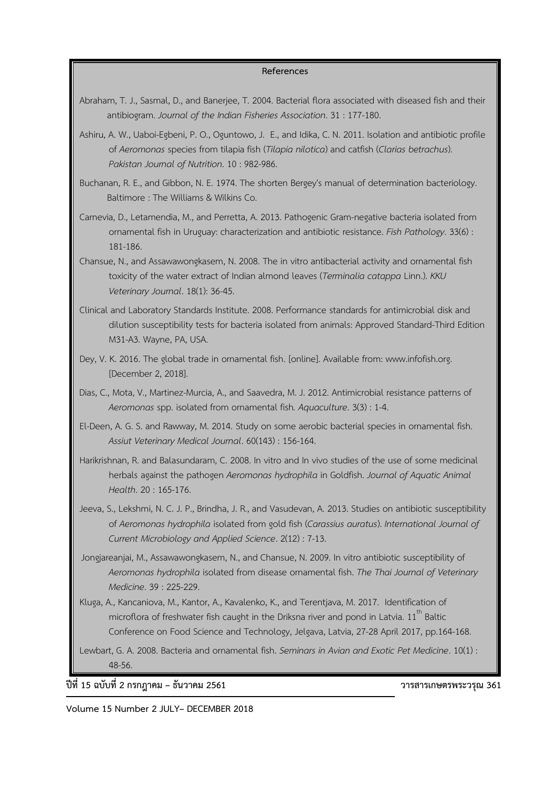### **References**

- Abraham, T. J., Sasmal, D., and Banerjee, T. 2004. Bacterial flora associated with diseased fish and their antibiogram. *Journal of the Indian Fisheries Association*. 31 : 177-180.
- Ashiru, A. W., Uaboi-Egbeni, P. O., Oguntowo, J. E., and Idika, C. N. 2011. Isolation and antibiotic profile of *Aeromonas* species from tilapia fish (*Tilapia nilotica*) and catfish (*Clarias betrachus*). *Pakistan Journal of Nutrition*. 10 : 982-986.
- Buchanan, R. E., and Gibbon, N. E. 1974. The shorten Bergey's manual of determination bacteriology. Baltimore : The Williams & Wilkins Co.
- Carnevia, D., Letamendia, M., and Perretta, A. 2013. Pathogenic Gram-negative bacteria isolated from ornamental fish in Uruguay: characterization and antibiotic resistance. *Fish Pathology*. 33(6) : 181-186.
- Chansue, N., and Assawawongkasem, N. 2008. The in vitro antibacterial activity and ornamental fish toxicity of the water extract of Indian almond leaves (*Terminalia catappa* Linn.). *KKU Veterinary Journal*. 18(1): 36-45.
- Clinical and Laboratory Standards Institute. 2008. Performance standards for antimicrobial disk and dilution susceptibility tests for bacteria isolated from animals: Approved Standard-Third Edition M31-A3. Wayne, PA, USA.
- Dey, V. K. 2016. The global trade in ornamental fish. [online]. Available from: www.infofish.org. [December 2, 2018].
- Dias, C., Mota, V., Martinez-Murcia, A., and Saavedra, M. J. 2012. Antimicrobial resistance patterns of *Aeromonas* spp. isolated from ornamental fish*. Aquaculture*. 3(3) : 1-4.
- El-Deen, A. G. S. and Rawway, M. 2014. Study on some aerobic bacterial species in ornamental fish. *Assiut Veterinary Medical Journal*. 60(143) : 156-164.
- Harikrishnan, R. and Balasundaram, C. 2008. In vitro and In vivo studies of the use of some medicinal herbals against the pathogen *Aeromonas hydrophila* in Goldfish. *Journal of Aquatic Animal Health*. 20 : 165-176.
- Jeeva, S., Lekshmi, N. C. J. P., Brindha, J. R., and Vasudevan, A. 2013. Studies on antibiotic susceptibility of *Aeromonas hydrophila* isolated from gold fish (*Carassius auratus*). *International Journal of Current Microbiology and Applied Science*. 2(12) : 7-13.
- Jongjareanjai, M., Assawawongkasem, N., and Chansue, N. 2009. In vitro antibiotic susceptibility of *Aeromonas hydrophila* isolated from disease ornamental fish. *The Thai Journal of Veterinary Medicine*. 39 : 225-229.
- Kluga, A., Kancaniova, M., Kantor, A., Kavalenko, K., and Terentjava, M. 2017. Identification of microflora of freshwater fish caught in the Driksna river and pond in Latvia.  $11^{\text{m}}$  Baltic Conference on Food Science and Technology, Jelgava, Latvia, 27-28 April 2017, pp.164-168.
- Lewbart, G. A. 2008. Bacteria and ornamental fish. *Seminars in Avian and Exotic Pet Medicine*. 10(1) : 48-56.

**ปีที่ 15 ฉบับที่ 2 กรกฎาคม – ธันวาคม 2561 วารสารเกษตรพระวรุณ 361**